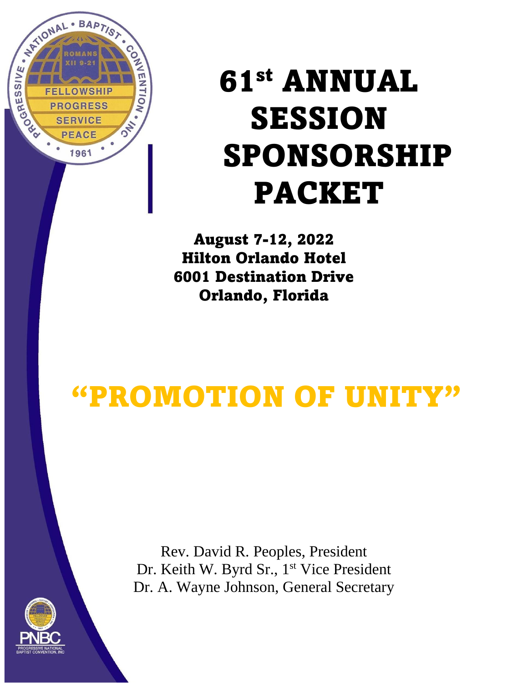

# SESSION **SPONSORSHIP** PACKET

August 7-12, 2022 Hilton Orlando Hotel 6001 Destination Drive Orlando, Florida

# "PROMOTION OF UNITY"

Rev. David R. Peoples, President Dr. Keith W. Byrd Sr., 1<sup>st</sup> Vice President Dr. A. Wayne Johnson, General Secretary

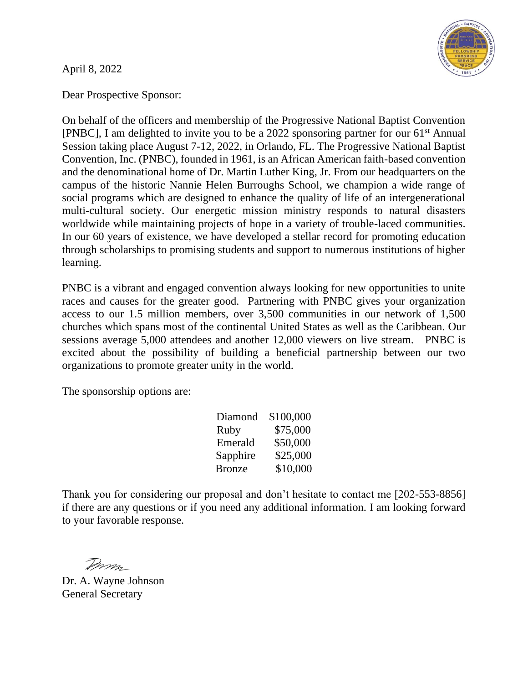April 8, 2022



Dear Prospective Sponsor:

On behalf of the officers and membership of the Progressive National Baptist Convention [PNBC], I am delighted to invite you to be a 2022 sponsoring partner for our  $61<sup>st</sup>$  Annual Session taking place August 7-12, 2022, in Orlando, FL. The Progressive National Baptist Convention, Inc. (PNBC), founded in 1961, is an African American faith-based convention and the denominational home of Dr. Martin Luther King, Jr. From our headquarters on the campus of the historic Nannie Helen Burroughs School, we champion a wide range of social programs which are designed to enhance the quality of life of an intergenerational multi-cultural society. Our energetic mission ministry responds to natural disasters worldwide while maintaining projects of hope in a variety of trouble-laced communities. In our 60 years of existence, we have developed a stellar record for promoting education through scholarships to promising students and support to numerous institutions of higher learning.

PNBC is a vibrant and engaged convention always looking for new opportunities to unite races and causes for the greater good. Partnering with PNBC gives your organization access to our 1.5 million members, over 3,500 communities in our network of 1,500 churches which spans most of the continental United States as well as the Caribbean. Our sessions average 5,000 attendees and another 12,000 viewers on live stream. PNBC is excited about the possibility of building a beneficial partnership between our two organizations to promote greater unity in the world.

The sponsorship options are:

| Diamond       | \$100,000 |
|---------------|-----------|
| Ruby          | \$75,000  |
| Emerald       | \$50,000  |
| Sapphire      | \$25,000  |
| <b>Bronze</b> | \$10,000  |

Thank you for considering our proposal and don't hesitate to contact me [202-553-8856] if there are any questions or if you need any additional information. I am looking forward to your favorable response.

Dr. A. Wayne Johnson General Secretary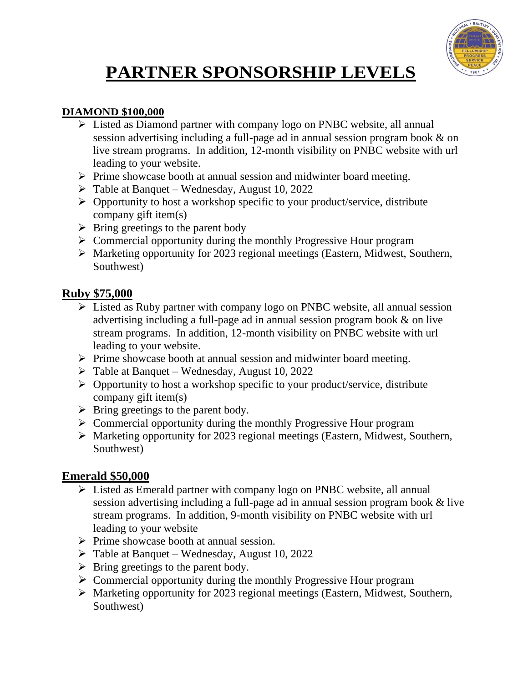

### **PARTNER SPONSORSHIP LEVELS**

#### **DIAMOND \$100,000**

- ➢ Listed as Diamond partner with company logo on PNBC website, all annual session advertising including a full-page ad in annual session program book & on live stream programs. In addition, 12-month visibility on PNBC website with url leading to your website.
- ➢ Prime showcase booth at annual session and midwinter board meeting.
- $\triangleright$  Table at Banquet Wednesday, August 10, 2022
- ➢ Opportunity to host a workshop specific to your product/service, distribute company gift item(s)
- $\triangleright$  Bring greetings to the parent body
- ➢ Commercial opportunity during the monthly Progressive Hour program
- ➢ Marketing opportunity for 2023 regional meetings (Eastern, Midwest, Southern, Southwest)

#### **Ruby \$75,000**

- ➢ Listed as Ruby partner with company logo on PNBC website, all annual session advertising including a full-page ad in annual session program book & on live stream programs. In addition, 12-month visibility on PNBC website with url leading to your website.
- ➢ Prime showcase booth at annual session and midwinter board meeting.
- ➢ Table at Banquet Wednesday, August 10, 2022
- ➢ Opportunity to host a workshop specific to your product/service, distribute company gift item(s)
- $\triangleright$  Bring greetings to the parent body.
- ➢ Commercial opportunity during the monthly Progressive Hour program
- ➢ Marketing opportunity for 2023 regional meetings (Eastern, Midwest, Southern, Southwest)

#### **Emerald \$50,000**

- ➢ Listed as Emerald partner with company logo on PNBC website, all annual session advertising including a full-page ad in annual session program book & live stream programs. In addition, 9-month visibility on PNBC website with url leading to your website
- ➢ Prime showcase booth at annual session.
- $\triangleright$  Table at Banquet Wednesday, August 10, 2022
- ➢ Bring greetings to the parent body.
- $\triangleright$  Commercial opportunity during the monthly Progressive Hour program
- ➢ Marketing opportunity for 2023 regional meetings (Eastern, Midwest, Southern, Southwest)